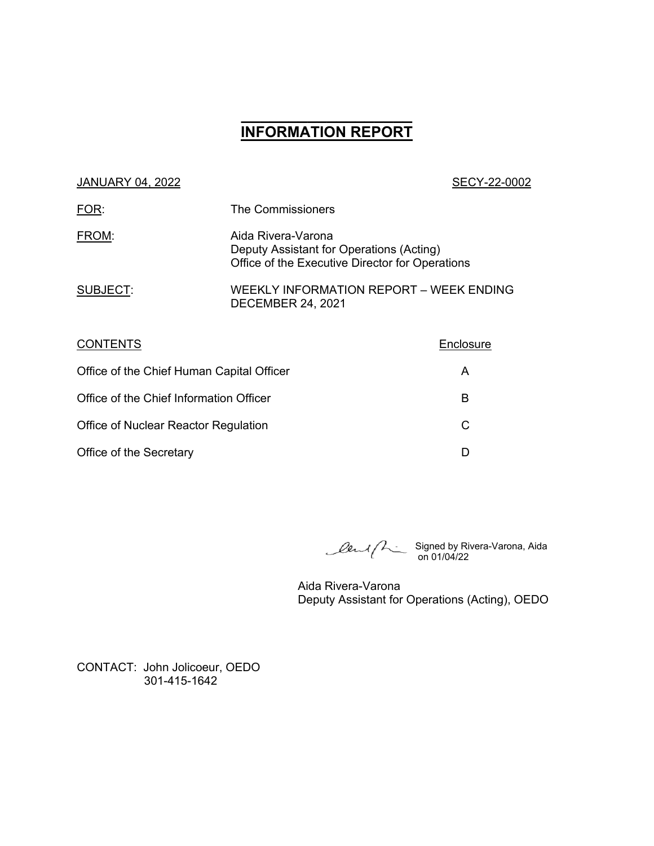# **\_\_\_\_\_\_\_\_\_\_\_\_\_\_\_\_\_\_ INFORMATION REPORT**

### JANUARY 04, 2022 SECY-22-0002

| FOR:     | The Commissioners                                                                                                 |
|----------|-------------------------------------------------------------------------------------------------------------------|
| FROM:    | Aida Rivera-Varona<br>Deputy Assistant for Operations (Acting)<br>Office of the Executive Director for Operations |
| SUBJECT: | WEEKLY INFORMATION REPORT - WEEK ENDING<br><b>DECEMBER 24, 2021</b>                                               |

| <b>CONTENTS</b>                           | Enclosure |
|-------------------------------------------|-----------|
| Office of the Chief Human Capital Officer | A         |
| Office of the Chief Information Officer   | в         |
| Office of Nuclear Reactor Regulation      | C         |
| Office of the Secretary                   |           |

Signed by Rivera-Varona, Aida on 01/04/22

Aida Rivera-Varona Deputy Assistant for Operations (Acting), OEDO

CONTACT: John Jolicoeur, OEDO 301-415-1642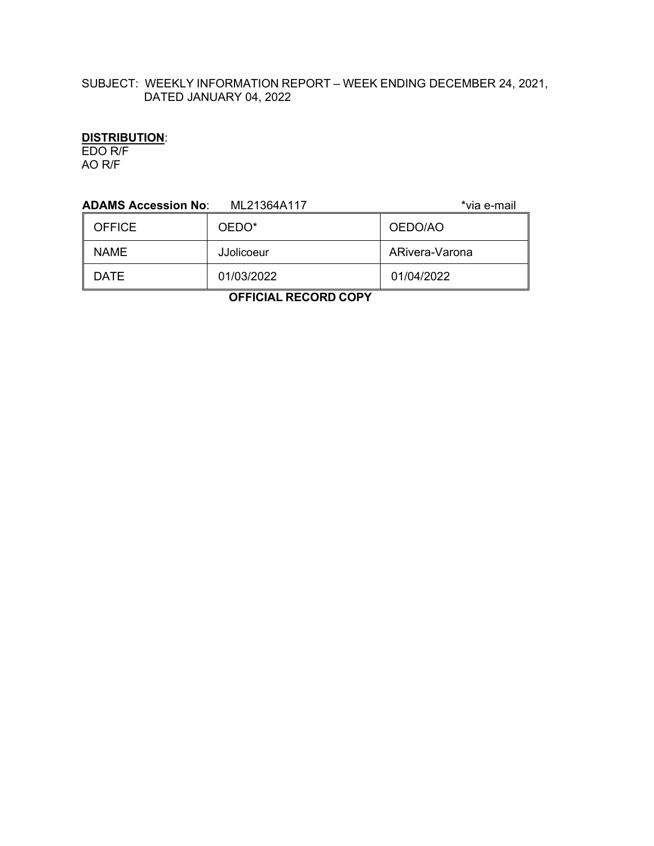# SUBJECT: WEEKLY INFORMATION REPORT – WEEK ENDING DECEMBER 24, 2021, DATED JANUARY 04, 2022

# **DISTRIBUTION**:

EDO R/F AO R/F

| <b>ADAMS Accession No:</b><br>*via e-mail<br>ML21364A117 |                   |                |  |
|----------------------------------------------------------|-------------------|----------------|--|
| <b>OFFICE</b>                                            | OEDO*             | OEDO/AO        |  |
| <b>NAME</b>                                              | <b>JJolicoeur</b> | ARivera-Varona |  |
| <b>DATE</b>                                              | 01/03/2022        | 01/04/2022     |  |
| -------<br>------                                        |                   |                |  |

 **OFFICIAL RECORD COPY**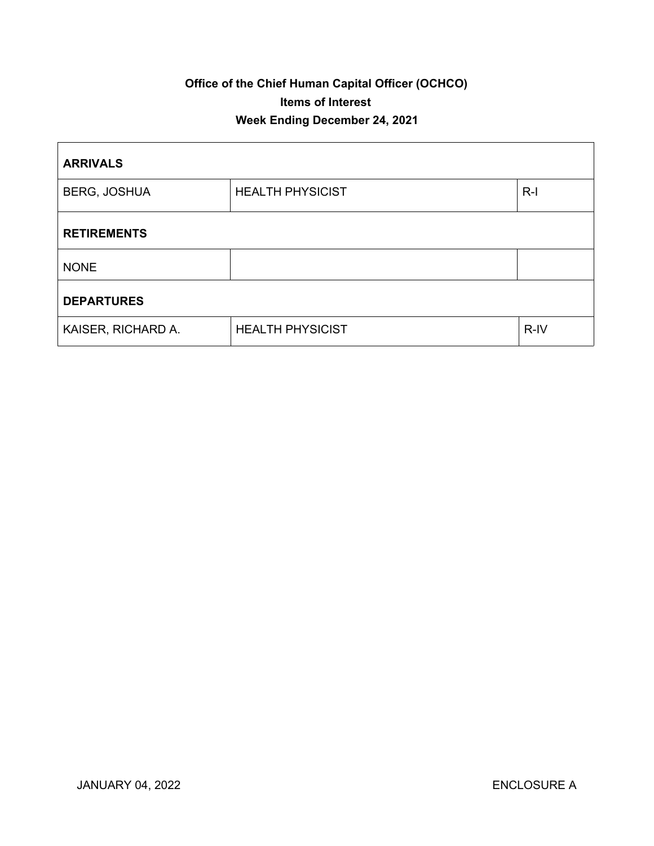# **Office of the Chief Human Capital Officer (OCHCO) Items of Interest Week Ending December 24, 2021**

| <b>ARRIVALS</b>     |                         |       |  |
|---------------------|-------------------------|-------|--|
| <b>BERG, JOSHUA</b> | <b>HEALTH PHYSICIST</b> | $R-I$ |  |
| <b>RETIREMENTS</b>  |                         |       |  |
| <b>NONE</b>         |                         |       |  |
| <b>DEPARTURES</b>   |                         |       |  |
| KAISER, RICHARD A.  | <b>HEALTH PHYSICIST</b> | R-IV  |  |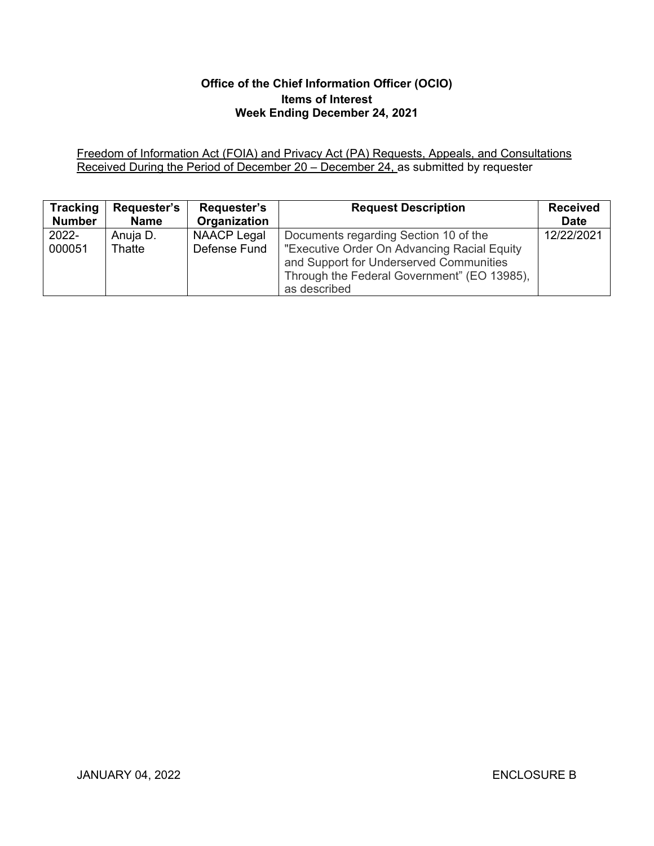# **Office of the Chief Information Officer (OCIO) Items of Interest Week Ending December 24, 2021**

Freedom of Information Act (FOIA) and Privacy Act (PA) Requests, Appeals, and Consultations Received During the Period of December 20 – December 24, as submitted by requester

| <b>Tracking</b> | <b>Requester's</b> | Requester's  | <b>Request Description</b>                  | <b>Received</b> |
|-----------------|--------------------|--------------|---------------------------------------------|-----------------|
| <b>Number</b>   | <b>Name</b>        | Organization |                                             | <b>Date</b>     |
| 2022-           | Anuja D.           | NAACP Legal  | Documents regarding Section 10 of the       | 12/22/2021      |
| 000051          | Thatte             | Defense Fund | "Executive Order On Advancing Racial Equity |                 |
|                 |                    |              | and Support for Underserved Communities     |                 |
|                 |                    |              | Through the Federal Government" (EO 13985), |                 |
|                 |                    |              | as described                                |                 |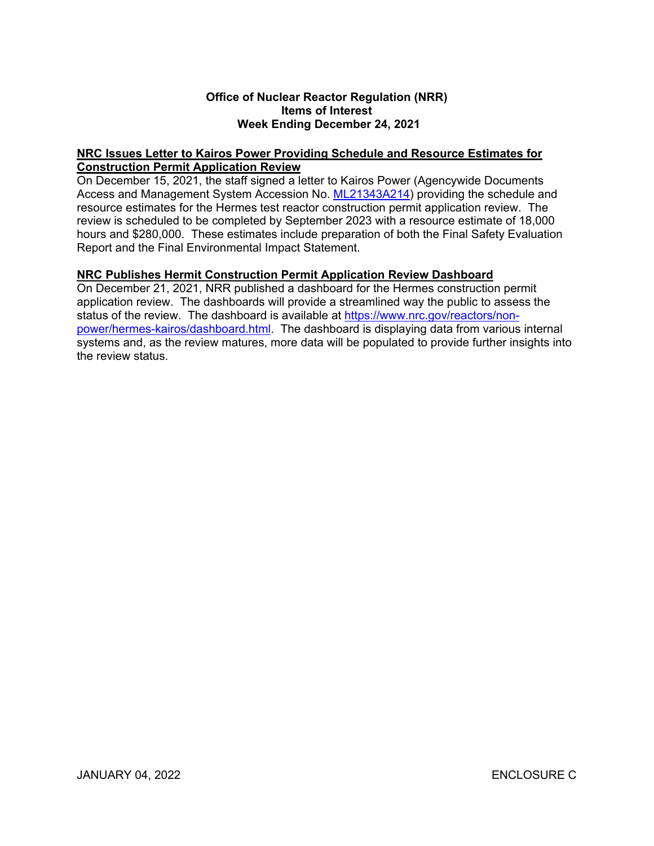### **Office of Nuclear Reactor Regulation (NRR) Items of Interest Week Ending December 24, 2021**

### **NRC Issues Letter to Kairos Power Providing Schedule and Resource Estimates for Construction Permit Application Review**

On December 15, 2021, the staff signed a letter to Kairos Power (Agencywide Documents Access and Management System Accession No. [ML21343A214\)](https://adamsxt.nrc.gov/navigator/AdamsXT/content/downloadContent.faces?objectStoreName=MainLibrary&vsId=%7bA2E62711-466E-C178-A53A-7D9FED100000%7d&ForceBrowserDownloadMgrPrompt=false) providing the schedule and resource estimates for the Hermes test reactor construction permit application review. The review is scheduled to be completed by September 2023 with a resource estimate of 18,000 hours and \$280,000. These estimates include preparation of both the Final Safety Evaluation Report and the Final Environmental Impact Statement.

### **NRC Publishes Hermit Construction Permit Application Review Dashboard**

On December 21, 2021, NRR published a dashboard for the Hermes construction permit application review. The dashboards will provide a streamlined way the public to assess the status of the review. The dashboard is available at [https://www.nrc.gov/reactors/non](https://www.nrc.gov/reactors/non-power/hermes-kairos/dashboard.html)[power/hermes-kairos/dashboard.html.](https://www.nrc.gov/reactors/non-power/hermes-kairos/dashboard.html) The dashboard is displaying data from various internal systems and, as the review matures, more data will be populated to provide further insights into the review status.